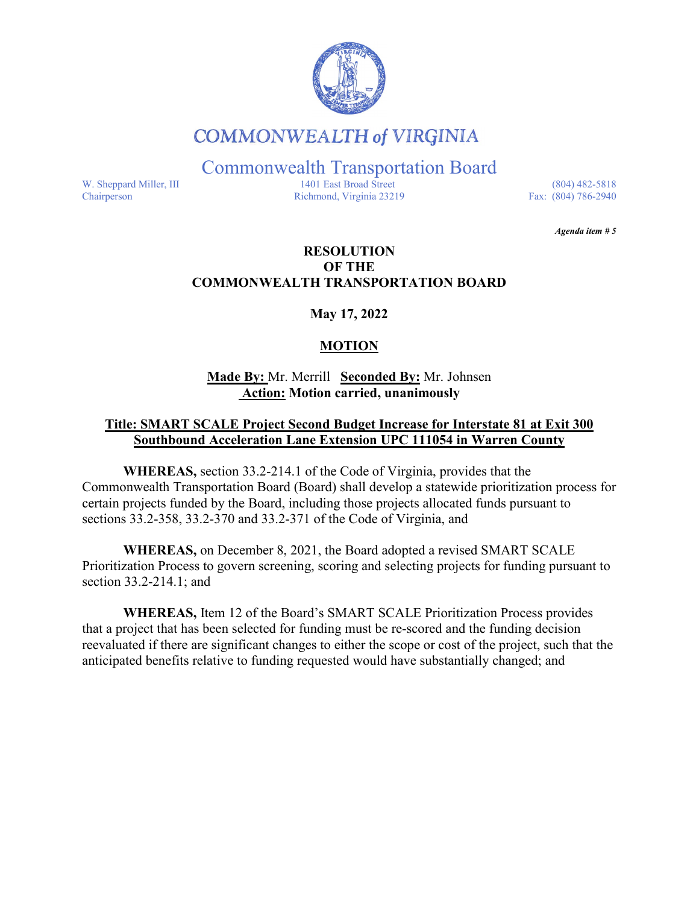

# **COMMONWEALTH of VIRGINIA**

Commonwealth Transportation Board

W. Sheppard Miller, III 1401 East Broad Street (804) 482-5818<br>Chairperson Richmond, Virginia 23219 Fax: (804) 786-2940 Richmond, Virginia 23219

*Agenda item # 5* 

# **RESOLUTION OF THE COMMONWEALTH TRANSPORTATION BOARD**

# **May 17, 2022**

# **MOTION**

### **Made By:** Mr. Merrill **Seconded By:** Mr. Johnsen **Action: Motion carried, unanimously**

# **Title: SMART SCALE Project Second Budget Increase for Interstate 81 at Exit 300 Southbound Acceleration Lane Extension UPC 111054 in Warren County**

**WHEREAS,** section 33.2-214.1 of the Code of Virginia, provides that the Commonwealth Transportation Board (Board) shall develop a statewide prioritization process for certain projects funded by the Board, including those projects allocated funds pursuant to sections 33.2-358, 33.2-370 and 33.2-371 of the Code of Virginia, and

**WHEREAS,** on December 8, 2021, the Board adopted a revised SMART SCALE Prioritization Process to govern screening, scoring and selecting projects for funding pursuant to section 33.2-214.1; and

**WHEREAS,** Item 12 of the Board's SMART SCALE Prioritization Process provides that a project that has been selected for funding must be re-scored and the funding decision reevaluated if there are significant changes to either the scope or cost of the project, such that the anticipated benefits relative to funding requested would have substantially changed; and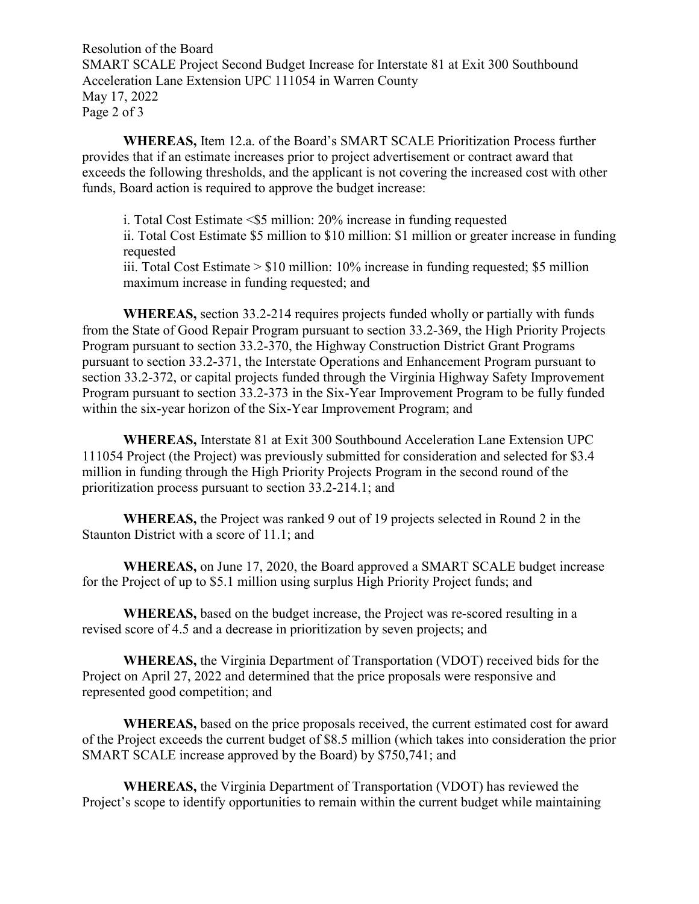Resolution of the Board SMART SCALE Project Second Budget Increase for Interstate 81 at Exit 300 Southbound Acceleration Lane Extension UPC 111054 in Warren County May 17, 2022 Page 2 of 3

**WHEREAS,** Item 12.a. of the Board's SMART SCALE Prioritization Process further provides that if an estimate increases prior to project advertisement or contract award that exceeds the following thresholds, and the applicant is not covering the increased cost with other funds, Board action is required to approve the budget increase:

i. Total Cost Estimate <\$5 million: 20% increase in funding requested ii. Total Cost Estimate \$5 million to \$10 million: \$1 million or greater increase in funding requested iii. Total Cost Estimate > \$10 million: 10% increase in funding requested; \$5 million maximum increase in funding requested; and

**WHEREAS,** section 33.2-214 requires projects funded wholly or partially with funds from the State of Good Repair Program pursuant to section 33.2-369, the High Priority Projects Program pursuant to section 33.2-370, the Highway Construction District Grant Programs pursuant to section 33.2-371, the Interstate Operations and Enhancement Program pursuant to section 33.2-372, or capital projects funded through the Virginia Highway Safety Improvement Program pursuant to section 33.2-373 in the Six-Year Improvement Program to be fully funded within the six-year horizon of the Six-Year Improvement Program; and

**WHEREAS,** Interstate 81 at Exit 300 Southbound Acceleration Lane Extension UPC 111054 Project (the Project) was previously submitted for consideration and selected for \$3.4 million in funding through the High Priority Projects Program in the second round of the prioritization process pursuant to section 33.2-214.1; and

**WHEREAS,** the Project was ranked 9 out of 19 projects selected in Round 2 in the Staunton District with a score of 11.1; and

**WHEREAS,** on June 17, 2020, the Board approved a SMART SCALE budget increase for the Project of up to \$5.1 million using surplus High Priority Project funds; and

**WHEREAS,** based on the budget increase, the Project was re-scored resulting in a revised score of 4.5 and a decrease in prioritization by seven projects; and

**WHEREAS,** the Virginia Department of Transportation (VDOT) received bids for the Project on April 27, 2022 and determined that the price proposals were responsive and represented good competition; and

**WHEREAS,** based on the price proposals received, the current estimated cost for award of the Project exceeds the current budget of \$8.5 million (which takes into consideration the prior SMART SCALE increase approved by the Board) by \$750,741; and

**WHEREAS,** the Virginia Department of Transportation (VDOT) has reviewed the Project's scope to identify opportunities to remain within the current budget while maintaining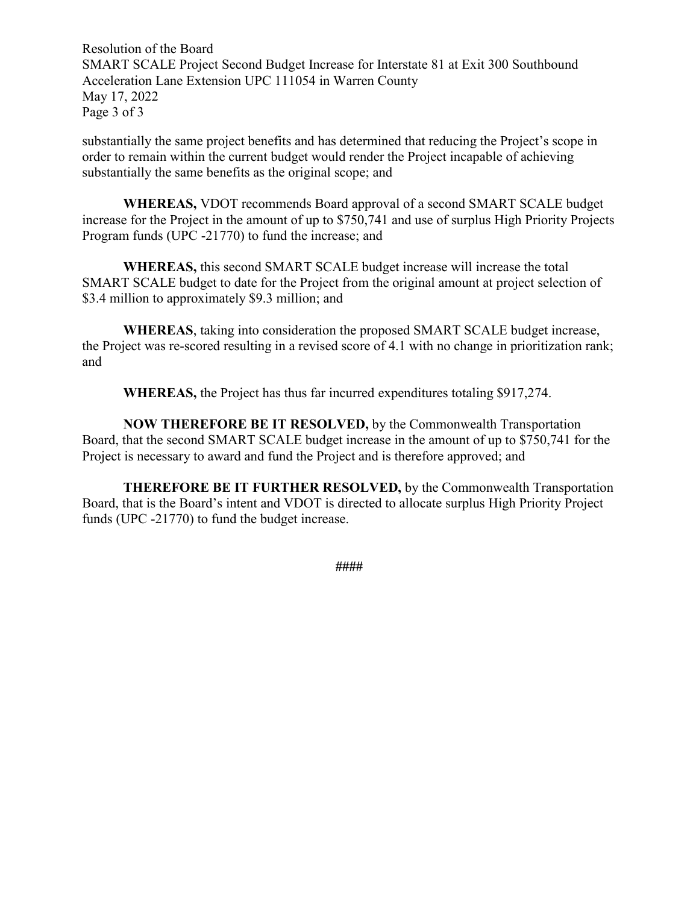Resolution of the Board SMART SCALE Project Second Budget Increase for Interstate 81 at Exit 300 Southbound Acceleration Lane Extension UPC 111054 in Warren County May 17, 2022 Page 3 of 3

substantially the same project benefits and has determined that reducing the Project's scope in order to remain within the current budget would render the Project incapable of achieving substantially the same benefits as the original scope; and

**WHEREAS,** VDOT recommends Board approval of a second SMART SCALE budget increase for the Project in the amount of up to \$750,741 and use of surplus High Priority Projects Program funds (UPC -21770) to fund the increase; and

**WHEREAS,** this second SMART SCALE budget increase will increase the total SMART SCALE budget to date for the Project from the original amount at project selection of \$3.4 million to approximately \$9.3 million; and

**WHEREAS**, taking into consideration the proposed SMART SCALE budget increase, the Project was re-scored resulting in a revised score of 4.1 with no change in prioritization rank; and

**WHEREAS,** the Project has thus far incurred expenditures totaling \$917,274.

**NOW THEREFORE BE IT RESOLVED,** by the Commonwealth Transportation Board, that the second SMART SCALE budget increase in the amount of up to \$750,741 for the Project is necessary to award and fund the Project and is therefore approved; and

**THEREFORE BE IT FURTHER RESOLVED,** by the Commonwealth Transportation Board, that is the Board's intent and VDOT is directed to allocate surplus High Priority Project funds (UPC -21770) to fund the budget increase.

**####**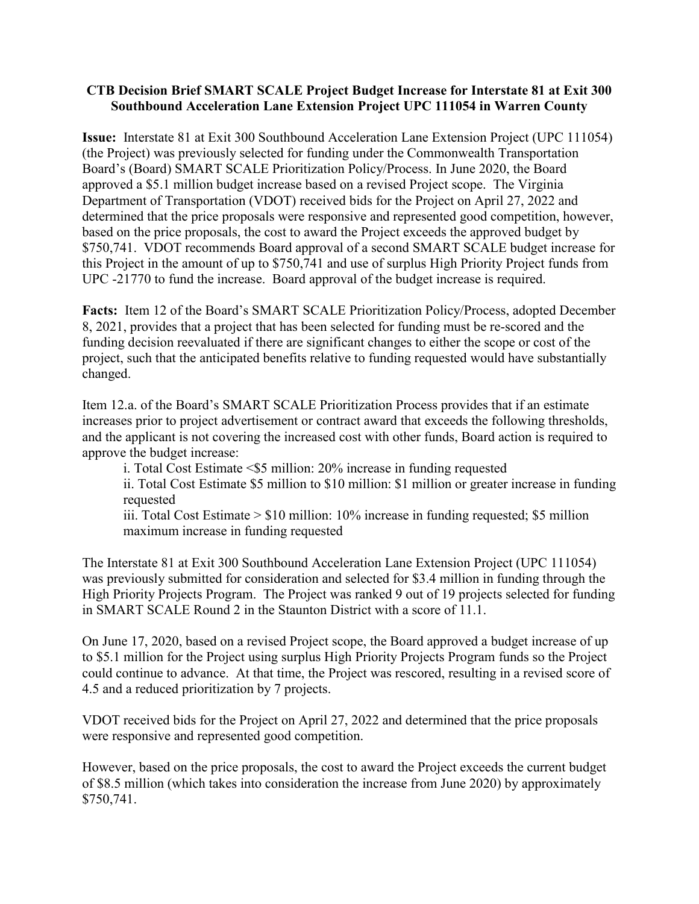#### **CTB Decision Brief SMART SCALE Project Budget Increase for Interstate 81 at Exit 300 Southbound Acceleration Lane Extension Project UPC 111054 in Warren County**

**Issue:** Interstate 81 at Exit 300 Southbound Acceleration Lane Extension Project (UPC 111054) (the Project) was previously selected for funding under the Commonwealth Transportation Board's (Board) SMART SCALE Prioritization Policy/Process. In June 2020, the Board approved a \$5.1 million budget increase based on a revised Project scope. The Virginia Department of Transportation (VDOT) received bids for the Project on April 27, 2022 and determined that the price proposals were responsive and represented good competition, however, based on the price proposals, the cost to award the Project exceeds the approved budget by \$750,741. VDOT recommends Board approval of a second SMART SCALE budget increase for this Project in the amount of up to \$750,741 and use of surplus High Priority Project funds from UPC -21770 to fund the increase. Board approval of the budget increase is required.

**Facts:** Item 12 of the Board's SMART SCALE Prioritization Policy/Process, adopted December 8, 2021, provides that a project that has been selected for funding must be re-scored and the funding decision reevaluated if there are significant changes to either the scope or cost of the project, such that the anticipated benefits relative to funding requested would have substantially changed.

Item 12.a. of the Board's SMART SCALE Prioritization Process provides that if an estimate increases prior to project advertisement or contract award that exceeds the following thresholds, and the applicant is not covering the increased cost with other funds, Board action is required to approve the budget increase:

i. Total Cost Estimate <\$5 million: 20% increase in funding requested

ii. Total Cost Estimate \$5 million to \$10 million: \$1 million or greater increase in funding requested

iii. Total Cost Estimate > \$10 million: 10% increase in funding requested; \$5 million maximum increase in funding requested

The Interstate 81 at Exit 300 Southbound Acceleration Lane Extension Project (UPC 111054) was previously submitted for consideration and selected for \$3.4 million in funding through the High Priority Projects Program. The Project was ranked 9 out of 19 projects selected for funding in SMART SCALE Round 2 in the Staunton District with a score of 11.1.

On June 17, 2020, based on a revised Project scope, the Board approved a budget increase of up to \$5.1 million for the Project using surplus High Priority Projects Program funds so the Project could continue to advance. At that time, the Project was rescored, resulting in a revised score of 4.5 and a reduced prioritization by 7 projects.

VDOT received bids for the Project on April 27, 2022 and determined that the price proposals were responsive and represented good competition.

However, based on the price proposals, the cost to award the Project exceeds the current budget of \$8.5 million (which takes into consideration the increase from June 2020) by approximately \$750,741.